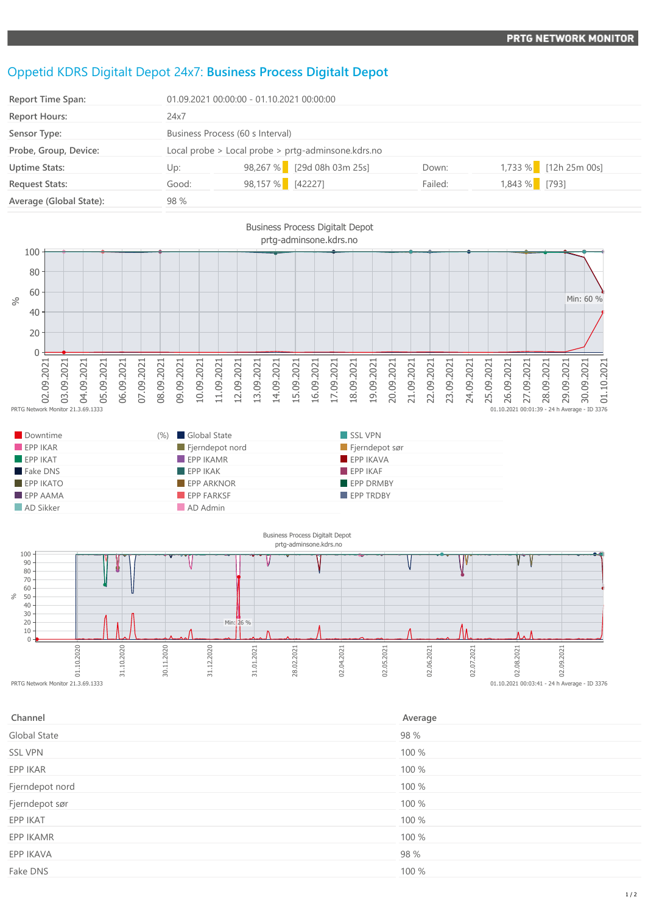## Oppetid KDRS Digitalt Depot 24x7: **Business Process Digitalt Depot**

| <b>Report Time Span:</b> |                                                    | 01.09.2021 00:00:00 - 01.10.2021 00:00:00 |         |                       |  |  |
|--------------------------|----------------------------------------------------|-------------------------------------------|---------|-----------------------|--|--|
| <b>Report Hours:</b>     | 24x7                                               |                                           |         |                       |  |  |
| Sensor Type:             | Business Process (60 s Interval)                   |                                           |         |                       |  |  |
| Probe, Group, Device:    | Local probe > Local probe > prtg-adminsone.kdrs.no |                                           |         |                       |  |  |
| <b>Uptime Stats:</b>     | Up:                                                | 98,267 % [29d 08h 03m 25s]                | Down:   | 1,733 % [12h 25m 00s] |  |  |
| <b>Request Stats:</b>    | Good:                                              | 98,157 % [42227]                          | Failed: | 1,843 % [793]         |  |  |
| Average (Global State):  | 98 %                                               |                                           |         |                       |  |  |



| Downtime                | (%) | Global State                   | SSL VPN          |
|-------------------------|-----|--------------------------------|------------------|
| EPPIKAR                 |     | $\blacksquare$ Fjerndepot nord | Fjerndepot sør   |
| $\blacksquare$ EPP IKAT |     | $\blacksquare$ EPP IKAMR       | EPP IKAVA        |
| Fake DNS                |     | EPPIKAK                        | EPPIKAF          |
| $EPP$ IKATO             |     | <b>EPP ARKNOR</b>              | <b>EPP DRMBY</b> |
| $EPP$ AAMA              |     | EPP FARKSF                     | <b>EPP TRDBY</b> |
| AD Sikker               |     | AD Admin                       |                  |



| Channel         | Average |
|-----------------|---------|
| Global State    | 98 %    |
| SSL VPN         | 100 %   |
| EPP IKAR        | 100 %   |
| Fjerndepot nord | 100 %   |
| Fjerndepot sør  | 100 %   |
| EPP IKAT        | 100 %   |
| EPP IKAMR       | 100 %   |
| EPP IKAVA       | 98 %    |
| Fake DNS        | 100 %   |
|                 |         |